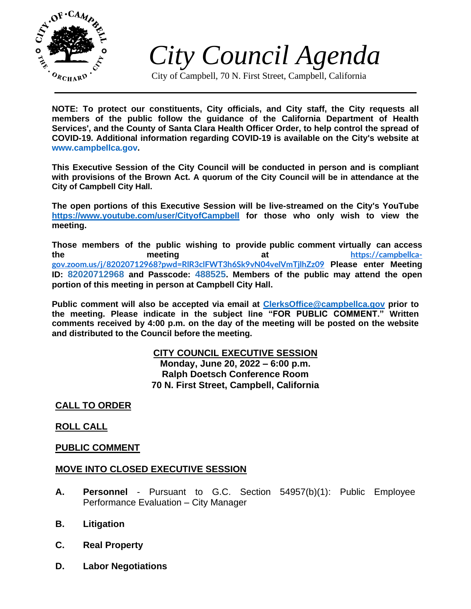

*City Council Agenda*

City of Campbell, 70 N. First Street, Campbell, California

**NOTE: To protect our constituents, City officials, and City staff, the City requests all members of the public follow the guidance of the California Department of Health Services', and the County of Santa Clara Health Officer Order, to help control the spread of COVID-19. Additional information regarding COVID-19 is available on the City's website at [www.campbellca.gov.](http://www.campbellca.gov/)**

**This Executive Session of the City Council will be conducted in person and is compliant with provisions of the Brown Act. A quorum of the City Council will be in attendance at the City of Campbell City Hall.**

**The open portions of this Executive Session will be live-streamed on the City's YouTube <https://www.youtube.com/user/CityofCampbell> for those who only wish to view the meeting.**

**Those members of the public wishing to provide public comment virtually can access the meeting at [https://campbellca](https://campbellca-gov.zoom.us/j/82020712968?pwd=RlR3clFWT3h6Sk9vN04velVmTjlhZz09)[gov.zoom.us/j/82020712968?pwd=RlR3clFWT3h6Sk9vN04velVmTjlhZz09](https://campbellca-gov.zoom.us/j/82020712968?pwd=RlR3clFWT3h6Sk9vN04velVmTjlhZz09) Please enter Meeting ID: 82020712968 and Passcode: 488525. Members of the public may attend the open portion of this meeting in person at Campbell City Hall.**

**Public comment will also be accepted via email at<ClerksOffice@campbellca.gov> prior to the meeting. Please indicate in the subject line "FOR PUBLIC COMMENT." Written comments received by 4:00 p.m. on the day of the meeting will be posted on the website and distributed to the Council before the meeting.**

### **CITY COUNCIL EXECUTIVE SESSION Monday, June 20, 2022 – 6:00 p.m. Ralph Doetsch Conference Room 70 N. First Street, Campbell, California**

# **CALL TO ORDER**

## **ROLL CALL**

## **PUBLIC COMMENT**

### **MOVE INTO CLOSED EXECUTIVE SESSION**

- **A. Personnel** Pursuant to G.C. Section 54957(b)(1): Public Employee Performance Evaluation – City Manager
- **B. Litigation**
- **C. Real Property**
- **D. Labor Negotiations**